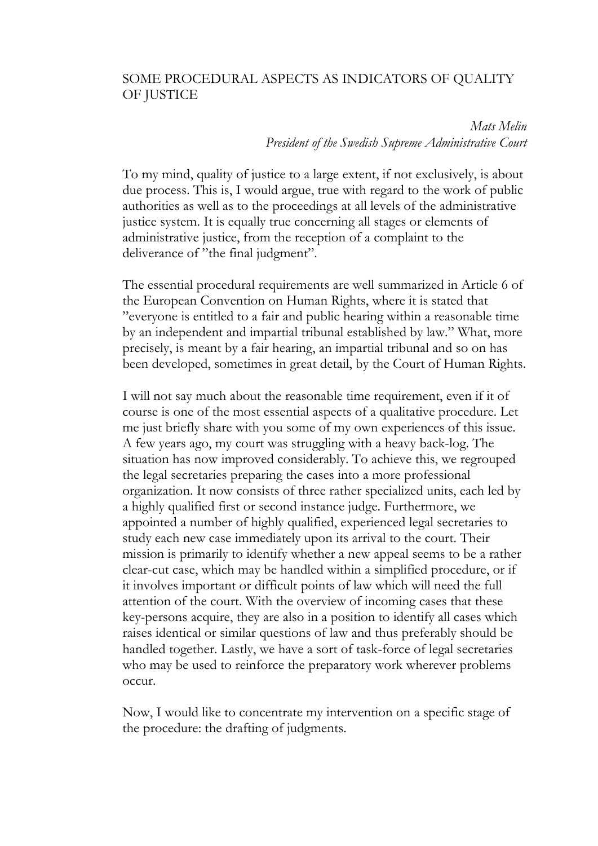## SOME PROCEDURAL ASPECTS AS INDICATORS OF QUALITY OF JUSTICE

*Mats Melin President of the Swedish Supreme Administrative Court*

To my mind, quality of justice to a large extent, if not exclusively, is about due process. This is, I would argue, true with regard to the work of public authorities as well as to the proceedings at all levels of the administrative justice system. It is equally true concerning all stages or elements of administrative justice, from the reception of a complaint to the deliverance of "the final judgment".

The essential procedural requirements are well summarized in Article 6 of the European Convention on Human Rights, where it is stated that "everyone is entitled to a fair and public hearing within a reasonable time by an independent and impartial tribunal established by law." What, more precisely, is meant by a fair hearing, an impartial tribunal and so on has been developed, sometimes in great detail, by the Court of Human Rights.

I will not say much about the reasonable time requirement, even if it of course is one of the most essential aspects of a qualitative procedure. Let me just briefly share with you some of my own experiences of this issue. A few years ago, my court was struggling with a heavy back-log. The situation has now improved considerably. To achieve this, we regrouped the legal secretaries preparing the cases into a more professional organization. It now consists of three rather specialized units, each led by a highly qualified first or second instance judge. Furthermore, we appointed a number of highly qualified, experienced legal secretaries to study each new case immediately upon its arrival to the court. Their mission is primarily to identify whether a new appeal seems to be a rather clear-cut case, which may be handled within a simplified procedure, or if it involves important or difficult points of law which will need the full attention of the court. With the overview of incoming cases that these key-persons acquire, they are also in a position to identify all cases which raises identical or similar questions of law and thus preferably should be handled together. Lastly, we have a sort of task-force of legal secretaries who may be used to reinforce the preparatory work wherever problems occur.

Now, I would like to concentrate my intervention on a specific stage of the procedure: the drafting of judgments.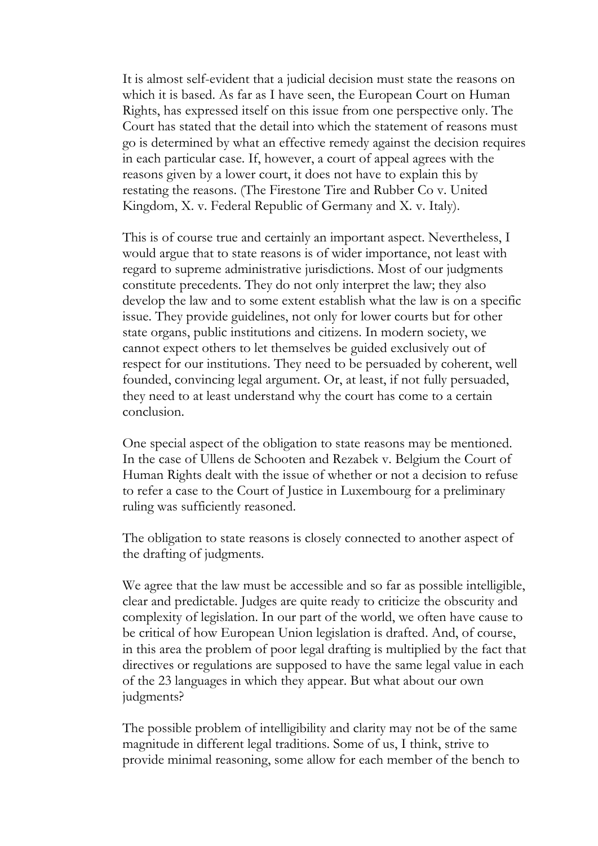It is almost self-evident that a judicial decision must state the reasons on which it is based. As far as I have seen, the European Court on Human Rights, has expressed itself on this issue from one perspective only. The Court has stated that the detail into which the statement of reasons must go is determined by what an effective remedy against the decision requires in each particular case. If, however, a court of appeal agrees with the reasons given by a lower court, it does not have to explain this by restating the reasons. (The Firestone Tire and Rubber Co v. United Kingdom, X. v. Federal Republic of Germany and X. v. Italy).

This is of course true and certainly an important aspect. Nevertheless, I would argue that to state reasons is of wider importance, not least with regard to supreme administrative jurisdictions. Most of our judgments constitute precedents. They do not only interpret the law; they also develop the law and to some extent establish what the law is on a specific issue. They provide guidelines, not only for lower courts but for other state organs, public institutions and citizens. In modern society, we cannot expect others to let themselves be guided exclusively out of respect for our institutions. They need to be persuaded by coherent, well founded, convincing legal argument. Or, at least, if not fully persuaded, they need to at least understand why the court has come to a certain conclusion.

One special aspect of the obligation to state reasons may be mentioned. In the case of Ullens de Schooten and Rezabek v. Belgium the Court of Human Rights dealt with the issue of whether or not a decision to refuse to refer a case to the Court of Justice in Luxembourg for a preliminary ruling was sufficiently reasoned.

The obligation to state reasons is closely connected to another aspect of the drafting of judgments.

We agree that the law must be accessible and so far as possible intelligible, clear and predictable. Judges are quite ready to criticize the obscurity and complexity of legislation. In our part of the world, we often have cause to be critical of how European Union legislation is drafted. And, of course, in this area the problem of poor legal drafting is multiplied by the fact that directives or regulations are supposed to have the same legal value in each of the 23 languages in which they appear. But what about our own judgments?

The possible problem of intelligibility and clarity may not be of the same magnitude in different legal traditions. Some of us, I think, strive to provide minimal reasoning, some allow for each member of the bench to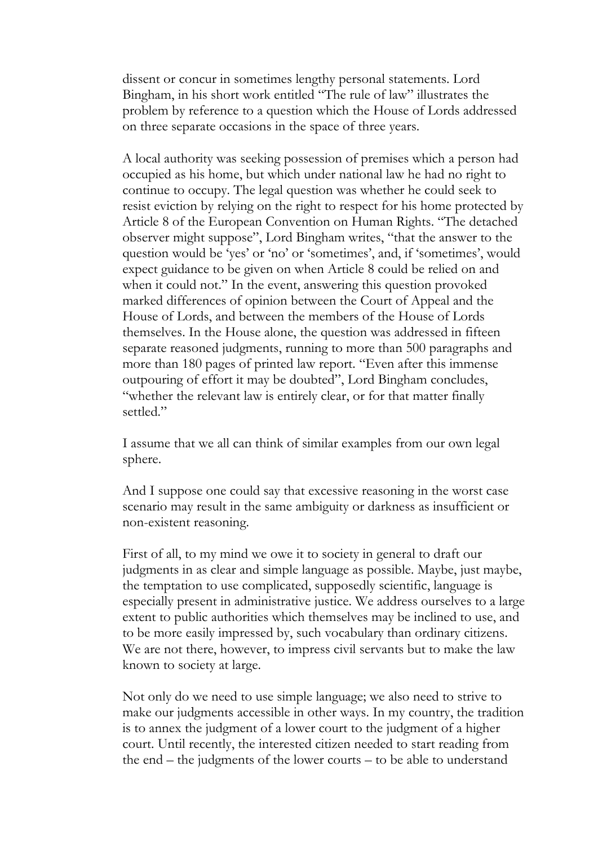dissent or concur in sometimes lengthy personal statements. Lord Bingham, in his short work entitled "The rule of law" illustrates the problem by reference to a question which the House of Lords addressed on three separate occasions in the space of three years.

A local authority was seeking possession of premises which a person had occupied as his home, but which under national law he had no right to continue to occupy. The legal question was whether he could seek to resist eviction by relying on the right to respect for his home protected by Article 8 of the European Convention on Human Rights. "The detached observer might suppose", Lord Bingham writes, "that the answer to the question would be 'yes' or 'no' or 'sometimes', and, if 'sometimes', would expect guidance to be given on when Article 8 could be relied on and when it could not." In the event, answering this question provoked marked differences of opinion between the Court of Appeal and the House of Lords, and between the members of the House of Lords themselves. In the House alone, the question was addressed in fifteen separate reasoned judgments, running to more than 500 paragraphs and more than 180 pages of printed law report. "Even after this immense outpouring of effort it may be doubted", Lord Bingham concludes, "whether the relevant law is entirely clear, or for that matter finally settled."

I assume that we all can think of similar examples from our own legal sphere.

And I suppose one could say that excessive reasoning in the worst case scenario may result in the same ambiguity or darkness as insufficient or non-existent reasoning.

First of all, to my mind we owe it to society in general to draft our judgments in as clear and simple language as possible. Maybe, just maybe, the temptation to use complicated, supposedly scientific, language is especially present in administrative justice. We address ourselves to a large extent to public authorities which themselves may be inclined to use, and to be more easily impressed by, such vocabulary than ordinary citizens. We are not there, however, to impress civil servants but to make the law known to society at large.

Not only do we need to use simple language; we also need to strive to make our judgments accessible in other ways. In my country, the tradition is to annex the judgment of a lower court to the judgment of a higher court. Until recently, the interested citizen needed to start reading from the end – the judgments of the lower courts – to be able to understand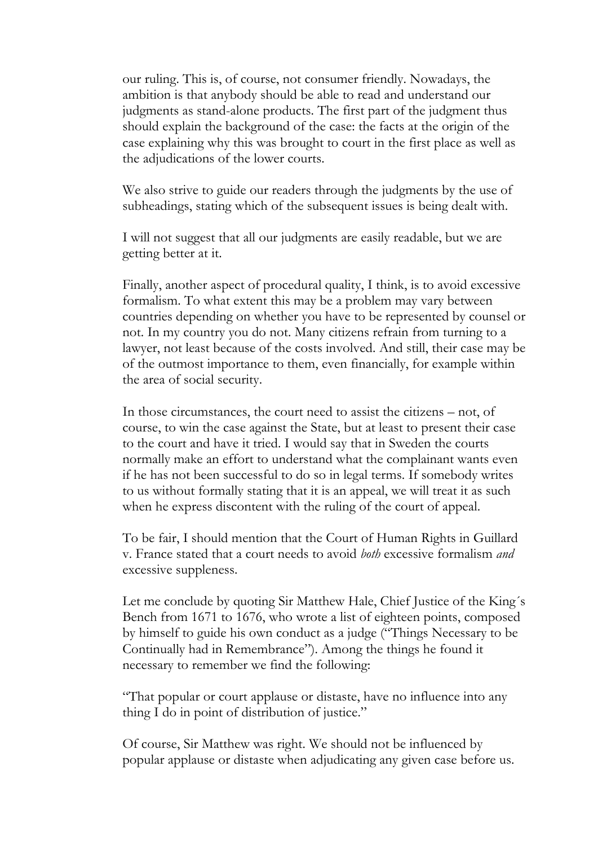our ruling. This is, of course, not consumer friendly. Nowadays, the ambition is that anybody should be able to read and understand our judgments as stand-alone products. The first part of the judgment thus should explain the background of the case: the facts at the origin of the case explaining why this was brought to court in the first place as well as the adjudications of the lower courts.

We also strive to guide our readers through the judgments by the use of subheadings, stating which of the subsequent issues is being dealt with.

I will not suggest that all our judgments are easily readable, but we are getting better at it.

Finally, another aspect of procedural quality, I think, is to avoid excessive formalism. To what extent this may be a problem may vary between countries depending on whether you have to be represented by counsel or not. In my country you do not. Many citizens refrain from turning to a lawyer, not least because of the costs involved. And still, their case may be of the outmost importance to them, even financially, for example within the area of social security.

In those circumstances, the court need to assist the citizens – not, of course, to win the case against the State, but at least to present their case to the court and have it tried. I would say that in Sweden the courts normally make an effort to understand what the complainant wants even if he has not been successful to do so in legal terms. If somebody writes to us without formally stating that it is an appeal, we will treat it as such when he express discontent with the ruling of the court of appeal.

To be fair, I should mention that the Court of Human Rights in Guillard v. France stated that a court needs to avoid *both* excessive formalism *and*  excessive suppleness.

Let me conclude by quoting Sir Matthew Hale, Chief Justice of the King´s Bench from 1671 to 1676, who wrote a list of eighteen points, composed by himself to guide his own conduct as a judge ("Things Necessary to be Continually had in Remembrance"). Among the things he found it necessary to remember we find the following:

"That popular or court applause or distaste, have no influence into any thing I do in point of distribution of justice."

Of course, Sir Matthew was right. We should not be influenced by popular applause or distaste when adjudicating any given case before us.